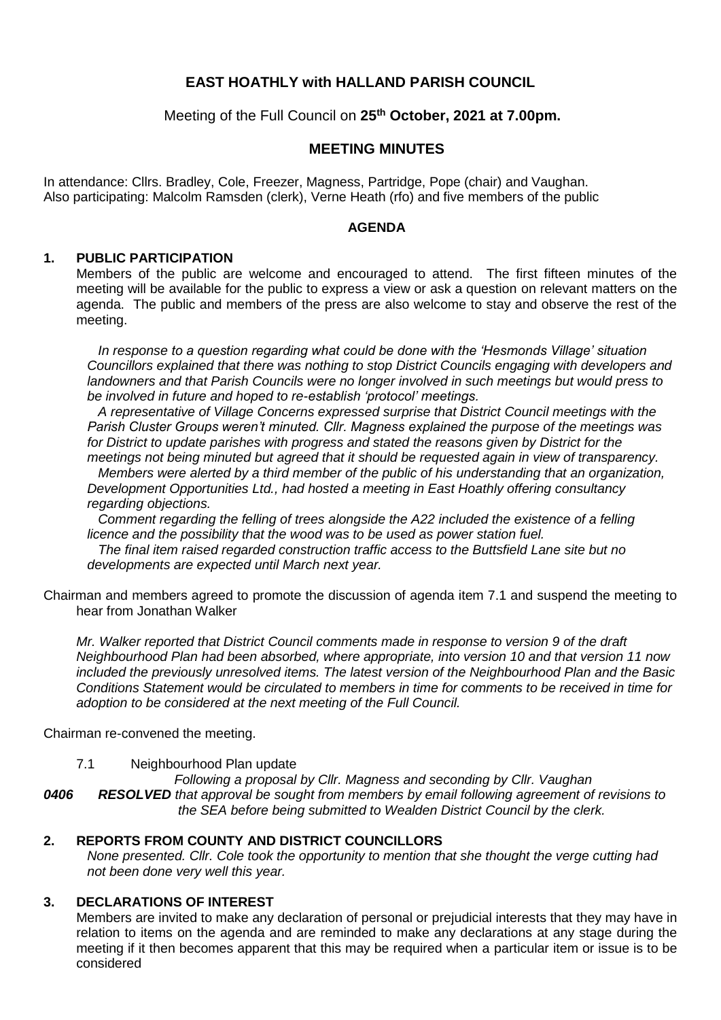## **EAST HOATHLY with HALLAND PARISH COUNCIL**

Meeting of the Full Council on **25th October, 2021 at 7.00pm.**

#### **MEETING MINUTES**

In attendance: Cllrs. Bradley, Cole, Freezer, Magness, Partridge, Pope (chair) and Vaughan. Also participating: Malcolm Ramsden (clerk), Verne Heath (rfo) and five members of the public

#### **AGENDA**

#### **1. PUBLIC PARTICIPATION**

Members of the public are welcome and encouraged to attend. The first fifteen minutes of the meeting will be available for the public to express a view or ask a question on relevant matters on the agenda. The public and members of the press are also welcome to stay and observe the rest of the meeting.

*In response to a question regarding what could be done with the 'Hesmonds Village' situation Councillors explained that there was nothing to stop District Councils engaging with developers and landowners and that Parish Councils were no longer involved in such meetings but would press to be involved in future and hoped to re-establish 'protocol' meetings.*

*A representative of Village Concerns expressed surprise that District Council meetings with the Parish Cluster Groups weren't minuted. Cllr. Magness explained the purpose of the meetings was for District to update parishes with progress and stated the reasons given by District for the meetings not being minuted but agreed that it should be requested again in view of transparency.*

*Members were alerted by a third member of the public of his understanding that an organization, Development Opportunities Ltd., had hosted a meeting in East Hoathly offering consultancy regarding objections.*

*Comment regarding the felling of trees alongside the A22 included the existence of a felling licence and the possibility that the wood was to be used as power station fuel. The final item raised regarded construction traffic access to the Buttsfield Lane site but no* 

*developments are expected until March next year.* 

Chairman and members agreed to promote the discussion of agenda item 7.1 and suspend the meeting to hear from Jonathan Walker

*Mr. Walker reported that District Council comments made in response to version 9 of the draft Neighbourhood Plan had been absorbed, where appropriate, into version 10 and that version 11 now included the previously unresolved items. The latest version of the Neighbourhood Plan and the Basic Conditions Statement would be circulated to members in time for comments to be received in time for adoption to be considered at the next meeting of the Full Council.* 

Chairman re-convened the meeting.

7.1 Neighbourhood Plan update

*Following a proposal by Cllr. Magness and seconding by Cllr. Vaughan*

*0406 RESOLVED that approval be sought from members by email following agreement of revisions to the SEA before being submitted to Wealden District Council by the clerk.*

#### **2. REPORTS FROM COUNTY AND DISTRICT COUNCILLORS**

*None presented. Cllr. Cole took the opportunity to mention that she thought the verge cutting had not been done very well this year.*

#### **3. DECLARATIONS OF INTEREST**

Members are invited to make any declaration of personal or prejudicial interests that they may have in relation to items on the agenda and are reminded to make any declarations at any stage during the meeting if it then becomes apparent that this may be required when a particular item or issue is to be considered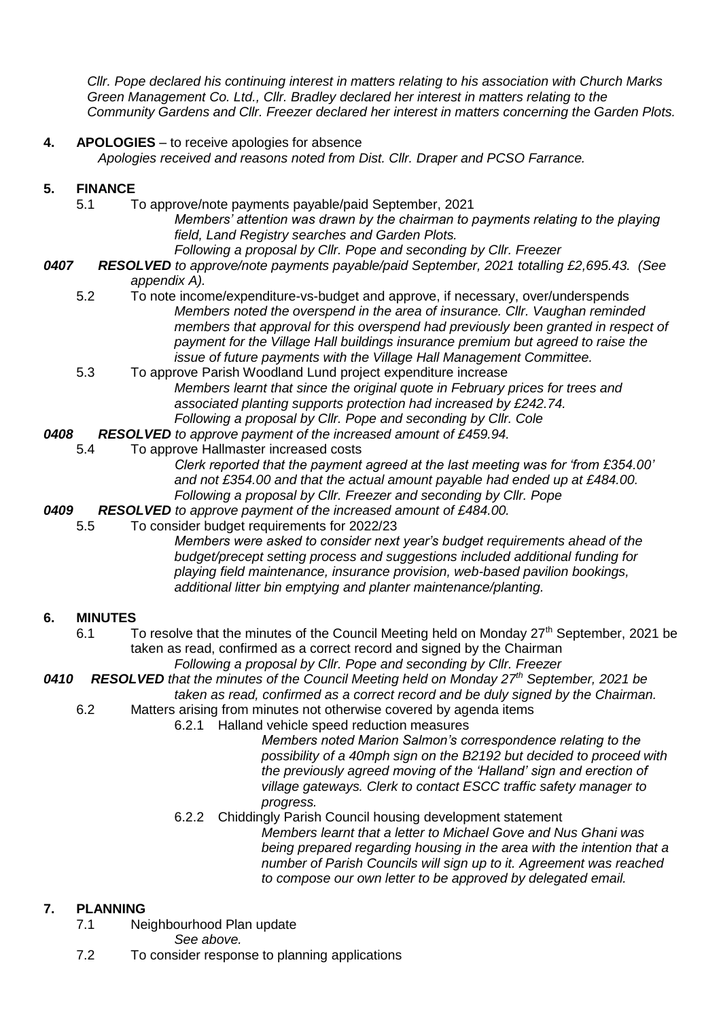*Cllr. Pope declared his continuing interest in matters relating to his association with Church Marks Green Management Co. Ltd., Cllr. Bradley declared her interest in matters relating to the Community Gardens and Cllr. Freezer declared her interest in matters concerning the Garden Plots.*

**4. APOLOGIES** – to receive apologies for absence

*Apologies received and reasons noted from Dist. Cllr. Draper and PCSO Farrance.*

## **5. FINANCE**

- 5.1 To approve/note payments payable/paid September, 2021 *Members' attention was drawn by the chairman to payments relating to the playing field, Land Registry searches and Garden Plots.*
	- *Following a proposal by Cllr. Pope and seconding by Cllr. Freezer*
- *0407 RESOLVED to approve/note payments payable/paid September, 2021 totalling £2,695.43. (See appendix A).*
	- 5.2 To note income/expenditure-vs-budget and approve, if necessary, over/underspends *Members noted the overspend in the area of insurance. Cllr. Vaughan reminded members that approval for this overspend had previously been granted in respect of payment for the Village Hall buildings insurance premium but agreed to raise the issue of future payments with the Village Hall Management Committee.*
	- 5.3 To approve Parish Woodland Lund project expenditure increase *Members learnt that since the original quote in February prices for trees and associated planting supports protection had increased by £242.74. Following a proposal by Cllr. Pope and seconding by Cllr. Cole*
- *0408 RESOLVED to approve payment of the increased amount of £459.94.*
	- 5.4 To approve Hallmaster increased costs

*Clerk reported that the payment agreed at the last meeting was for 'from £354.00' and not £354.00 and that the actual amount payable had ended up at £484.00. Following a proposal by Cllr. Freezer and seconding by Cllr. Pope*

- *0409 RESOLVED to approve payment of the increased amount of £484.00.*
- 5.5 To consider budget requirements for 2022/23

*Members were asked to consider next year's budget requirements ahead of the budget/precept setting process and suggestions included additional funding for playing field maintenance, insurance provision, web-based pavilion bookings, additional litter bin emptying and planter maintenance/planting.*

#### **6. MINUTES**

- 6.1 To resolve that the minutes of the Council Meeting held on Monday  $27<sup>th</sup>$  September, 2021 be taken as read, confirmed as a correct record and signed by the Chairman *Following a proposal by Cllr. Pope and seconding by Cllr. Freezer*
- *0410 RESOLVED that the minutes of the Council Meeting held on Monday 27th September, 2021 be taken as read, confirmed as a correct record and be duly signed by the Chairman.*
	- 6.2 Matters arising from minutes not otherwise covered by agenda items
		- 6.2.1 Halland vehicle speed reduction measures

*Members noted Marion Salmon's correspondence relating to the possibility of a 40mph sign on the B2192 but decided to proceed with the previously agreed moving of the 'Halland' sign and erection of village gateways. Clerk to contact ESCC traffic safety manager to progress.*

6.2.2 Chiddingly Parish Council housing development statement

*Members learnt that a letter to Michael Gove and Nus Ghani was being prepared regarding housing in the area with the intention that a number of Parish Councils will sign up to it. Agreement was reached to compose our own letter to be approved by delegated email.*

## **7. PLANNING**

7.1 Neighbourhood Plan update

*See above.*

7.2 To consider response to planning applications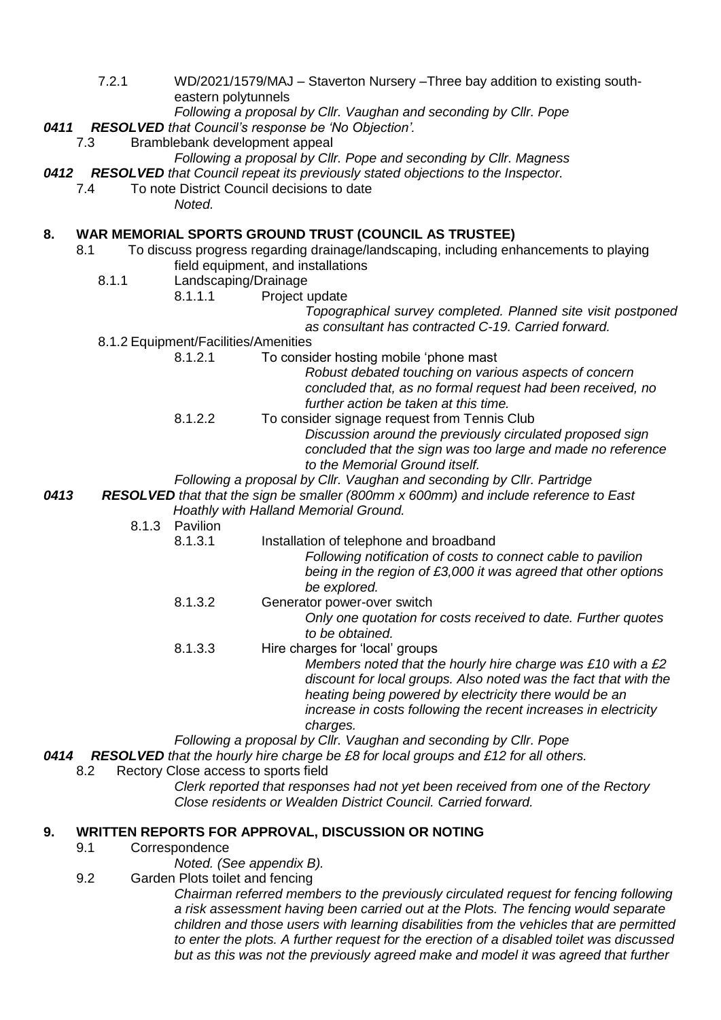7.2.1 WD/2021/1579/MAJ – Staverton Nursery –Three bay addition to existing southeastern polytunnels

*0411 RESOLVED that Council's response be 'No Objection'.*

Bramblebank development appeal

```
Following a proposal by Cllr. Pope and seconding by Cllr. Magness
```
*0412 RESOLVED that Council repeat its previously stated objections to the Inspector.*

- 7.4 To note District Council decisions to date
	- *Noted.*

## **8. WAR MEMORIAL SPORTS GROUND TRUST (COUNCIL AS TRUSTEE)**

- 8.1 To discuss progress regarding drainage/landscaping, including enhancements to playing field equipment, and installations
	- 8.1.1 Landscaping/Drainage
		- 8.1.1.1 Project update

*Topographical survey completed. Planned site visit postponed as consultant has contracted C-19. Carried forward.*

- 8.1.2 Equipment/Facilities/Amenities
	- 8.1.2.1 To consider hosting mobile 'phone mast

*Robust debated touching on various aspects of concern concluded that, as no formal request had been received, no further action be taken at this time.*

- 8.1.2.2 To consider signage request from Tennis Club *Discussion around the previously circulated proposed sign concluded that the sign was too large and made no reference to the Memorial Ground itself.*
- *Following a proposal by Cllr. Vaughan and seconding by Cllr. Partridge*

*0413 RESOLVED that that the sign be smaller (800mm x 600mm) and include reference to East Hoathly with Halland Memorial Ground.*

- 8.1.3 Pavilion
	- 8.1.3.1 Installation of telephone and broadband

*Following notification of costs to connect cable to pavilion being in the region of £3,000 it was agreed that other options be explored.*

- 8.1.3.2 Generator power-over switch *Only one quotation for costs received to date. Further quotes to be obtained.*
- 8.1.3.3 Hire charges for 'local' groups

*Members noted that the hourly hire charge was £10 with a £2 discount for local groups. Also noted was the fact that with the heating being powered by electricity there would be an increase in costs following the recent increases in electricity charges.*

*Following a proposal by Cllr. Vaughan and seconding by Cllr. Pope*

*0414 RESOLVED that the hourly hire charge be £8 for local groups and £12 for all others.*

8.2 Rectory Close access to sports field

*Clerk reported that responses had not yet been received from one of the Rectory Close residents or Wealden District Council. Carried forward.*

## **9. WRITTEN REPORTS FOR APPROVAL, DISCUSSION OR NOTING**

9.1 Correspondence

*Noted. (See appendix B).*

9.2 Garden Plots toilet and fencing

*Chairman referred members to the previously circulated request for fencing following a risk assessment having been carried out at the Plots. The fencing would separate children and those users with learning disabilities from the vehicles that are permitted to enter the plots. A further request for the erection of a disabled toilet was discussed but as this was not the previously agreed make and model it was agreed that further* 

*Following a proposal by Cllr. Vaughan and seconding by Cllr. Pope*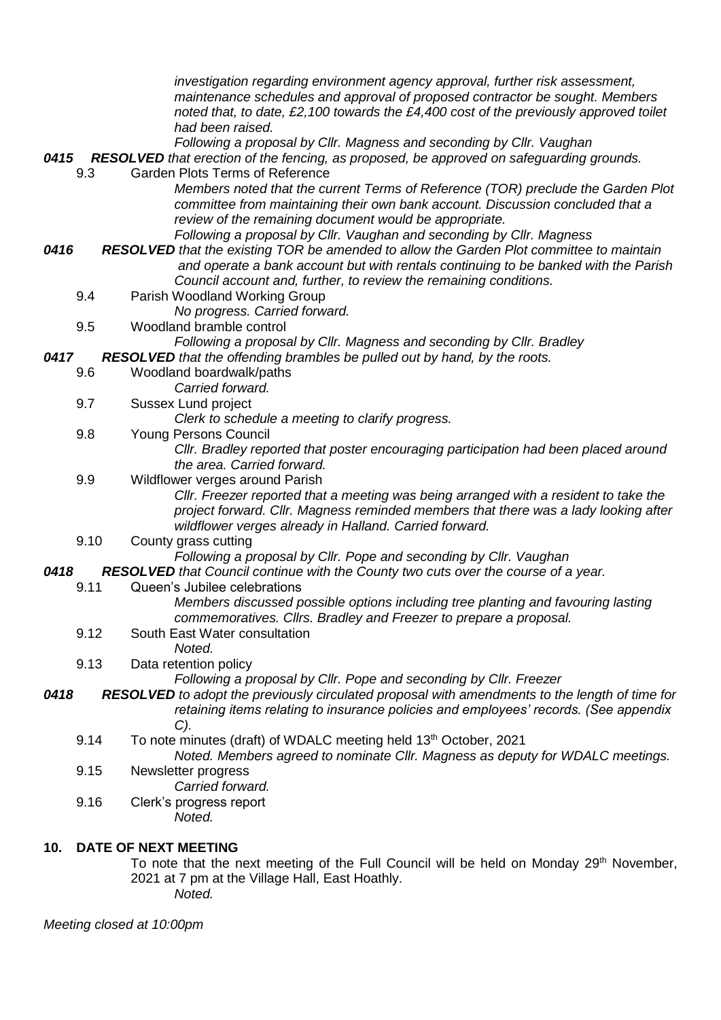|      |      |                      | investigation regarding environment agency approval, further risk assessment,<br>maintenance schedules and approval of proposed contractor be sought. Members<br>noted that, to date, £2,100 towards the £4,400 cost of the previously approved toilet<br>had been raised.                           |
|------|------|----------------------|------------------------------------------------------------------------------------------------------------------------------------------------------------------------------------------------------------------------------------------------------------------------------------------------------|
|      | 9.3  |                      | Following a proposal by Cllr. Magness and seconding by Cllr. Vaughan<br>0415 RESOLVED that erection of the fencing, as proposed, be approved on safeguarding grounds.<br><b>Garden Plots Terms of Reference</b>                                                                                      |
|      |      |                      | Members noted that the current Terms of Reference (TOR) preclude the Garden Plot<br>committee from maintaining their own bank account. Discussion concluded that a<br>review of the remaining document would be appropriate.<br>Following a proposal by Cllr. Vaughan and seconding by Cllr. Magness |
| 0416 |      |                      | <b>RESOLVED</b> that the existing TOR be amended to allow the Garden Plot committee to maintain<br>and operate a bank account but with rentals continuing to be banked with the Parish                                                                                                               |
|      | 9.4  |                      | Council account and, further, to review the remaining conditions.<br>Parish Woodland Working Group<br>No progress. Carried forward.                                                                                                                                                                  |
|      | 9.5  |                      | Woodland bramble control<br>Following a proposal by Cllr. Magness and seconding by Cllr. Bradley                                                                                                                                                                                                     |
| 0417 | 9.6  |                      | RESOLVED that the offending brambles be pulled out by hand, by the roots.<br>Woodland boardwalk/paths<br>Carried forward.                                                                                                                                                                            |
|      | 9.7  |                      | Sussex Lund project<br>Clerk to schedule a meeting to clarify progress.                                                                                                                                                                                                                              |
|      | 9.8  |                      | <b>Young Persons Council</b><br>Cllr. Bradley reported that poster encouraging participation had been placed around<br>the area. Carried forward.                                                                                                                                                    |
|      | 9.9  |                      | Wildflower verges around Parish<br>Cllr. Freezer reported that a meeting was being arranged with a resident to take the<br>project forward. Cllr. Magness reminded members that there was a lady looking after<br>wildflower verges already in Halland. Carried forward.                             |
|      | 9.10 |                      | County grass cutting<br>Following a proposal by Cllr. Pope and seconding by Cllr. Vaughan                                                                                                                                                                                                            |
| 0418 |      |                      | RESOLVED that Council continue with the County two cuts over the course of a year.                                                                                                                                                                                                                   |
|      | 9.11 |                      | Queen's Jubilee celebrations<br>Members discussed possible options including tree planting and favouring lasting<br>commemoratives. Cllrs. Bradley and Freezer to prepare a proposal.                                                                                                                |
|      | 9.12 |                      | South East Water consultation<br>Noted.                                                                                                                                                                                                                                                              |
|      | 9.13 |                      | Data retention policy<br>Following a proposal by Cllr. Pope and seconding by Cllr. Freezer                                                                                                                                                                                                           |
| 0418 |      |                      | RESOLVED to adopt the previously circulated proposal with amendments to the length of time for<br>retaining items relating to insurance policies and employees' records. (See appendix<br>C).                                                                                                        |
|      | 9.14 |                      | To note minutes (draft) of WDALC meeting held 13 <sup>th</sup> October, 2021<br>Noted. Members agreed to nominate Cllr. Magness as deputy for WDALC meetings.                                                                                                                                        |
|      | 9.15 |                      | Newsletter progress<br>Carried forward.                                                                                                                                                                                                                                                              |
|      | 9.16 |                      | Clerk's progress report<br>Noted.                                                                                                                                                                                                                                                                    |
| 10.  |      | DATE OF NEXT MEETING |                                                                                                                                                                                                                                                                                                      |

To note that the next meeting of the Full Council will be held on Monday 29<sup>th</sup> November, 2021 at 7 pm at the Village Hall, East Hoathly. *Noted.*

*Meeting closed at 10:00pm*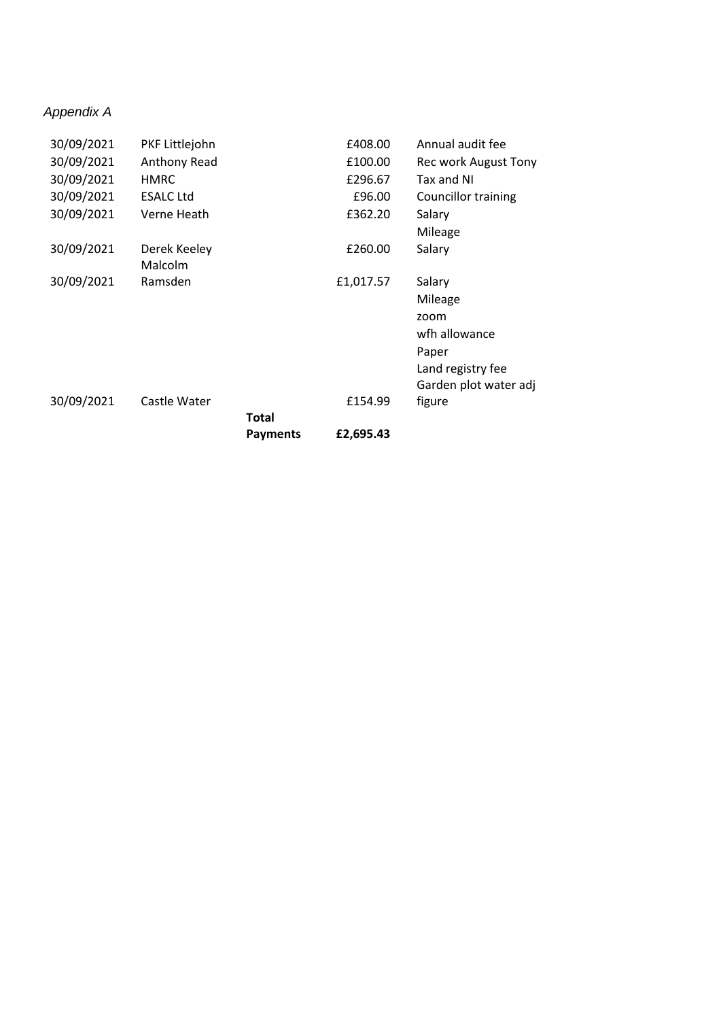## *Appendix A*

| 30/09/2021 | PKF Littlejohn   |                 | £408.00   | Annual audit fee      |
|------------|------------------|-----------------|-----------|-----------------------|
| 30/09/2021 | Anthony Read     |                 | £100.00   | Rec work August Tony  |
| 30/09/2021 | <b>HMRC</b>      |                 | £296.67   | Tax and NI            |
| 30/09/2021 | <b>ESALC Ltd</b> |                 | £96.00    | Councillor training   |
| 30/09/2021 | Verne Heath      |                 | £362.20   | Salary                |
|            |                  |                 |           | Mileage               |
| 30/09/2021 | Derek Keeley     |                 | £260.00   | Salary                |
|            | Malcolm          |                 |           |                       |
| 30/09/2021 | Ramsden          |                 | £1,017.57 | Salary                |
|            |                  |                 |           | Mileage               |
|            |                  |                 |           | zoom                  |
|            |                  |                 |           | wfh allowance         |
|            |                  |                 |           | Paper                 |
|            |                  |                 |           | Land registry fee     |
|            |                  |                 |           | Garden plot water adj |
| 30/09/2021 | Castle Water     |                 | £154.99   | figure                |
|            |                  | Total           |           |                       |
|            |                  | <b>Payments</b> | £2,695.43 |                       |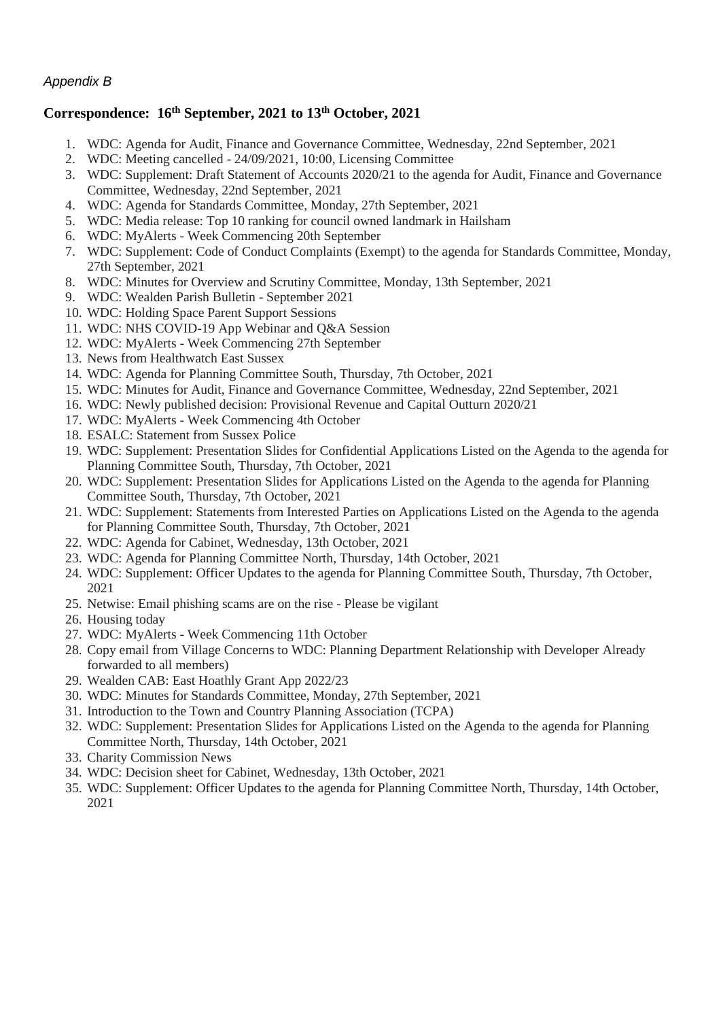## *Appendix B*

## **Correspondence: 16th September, 2021 to 13th October, 2021**

- 1. WDC: Agenda for Audit, Finance and Governance Committee, Wednesday, 22nd September, 2021
- 2. WDC: Meeting cancelled 24/09/2021, 10:00, Licensing Committee
- 3. WDC: Supplement: Draft Statement of Accounts 2020/21 to the agenda for Audit, Finance and Governance Committee, Wednesday, 22nd September, 2021
- 4. WDC: Agenda for Standards Committee, Monday, 27th September, 2021
- 5. WDC: Media release: Top 10 ranking for council owned landmark in Hailsham
- 6. WDC: MyAlerts Week Commencing 20th September
- 7. WDC: Supplement: Code of Conduct Complaints (Exempt) to the agenda for Standards Committee, Monday, 27th September, 2021
- 8. WDC: Minutes for Overview and Scrutiny Committee, Monday, 13th September, 2021
- 9. WDC: Wealden Parish Bulletin September 2021
- 10. WDC: Holding Space Parent Support Sessions
- 11. WDC: NHS COVID-19 App Webinar and Q&A Session
- 12. WDC: MyAlerts Week Commencing 27th September
- 13. News from Healthwatch East Sussex
- 14. WDC: Agenda for Planning Committee South, Thursday, 7th October, 2021
- 15. WDC: Minutes for Audit, Finance and Governance Committee, Wednesday, 22nd September, 2021
- 16. WDC: Newly published decision: Provisional Revenue and Capital Outturn 2020/21
- 17. WDC: MyAlerts Week Commencing 4th October
- 18. ESALC: Statement from Sussex Police
- 19. WDC: Supplement: Presentation Slides for Confidential Applications Listed on the Agenda to the agenda for Planning Committee South, Thursday, 7th October, 2021
- 20. WDC: Supplement: Presentation Slides for Applications Listed on the Agenda to the agenda for Planning Committee South, Thursday, 7th October, 2021
- 21. WDC: Supplement: Statements from Interested Parties on Applications Listed on the Agenda to the agenda for Planning Committee South, Thursday, 7th October, 2021
- 22. WDC: Agenda for Cabinet, Wednesday, 13th October, 2021
- 23. WDC: Agenda for Planning Committee North, Thursday, 14th October, 2021
- 24. WDC: Supplement: Officer Updates to the agenda for Planning Committee South, Thursday, 7th October, 2021
- 25. Netwise: Email phishing scams are on the rise Please be vigilant
- 26. Housing today
- 27. WDC: MyAlerts Week Commencing 11th October
- 28. Copy email from Village Concerns to WDC: Planning Department Relationship with Developer Already forwarded to all members)
- 29. Wealden CAB: East Hoathly Grant App 2022/23
- 30. WDC: Minutes for Standards Committee, Monday, 27th September, 2021
- 31. Introduction to the Town and Country Planning Association (TCPA)
- 32. WDC: Supplement: Presentation Slides for Applications Listed on the Agenda to the agenda for Planning Committee North, Thursday, 14th October, 2021
- 33. Charity Commission News
- 34. WDC: Decision sheet for Cabinet, Wednesday, 13th October, 2021
- 35. WDC: Supplement: Officer Updates to the agenda for Planning Committee North, Thursday, 14th October, 2021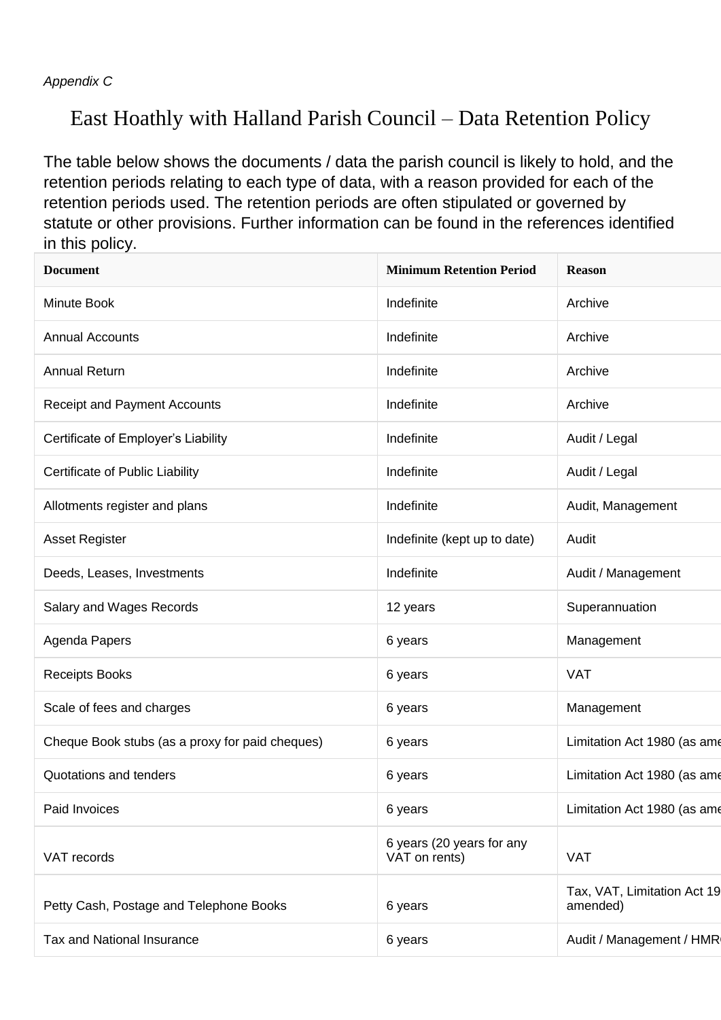*Appendix C*

# East Hoathly with Halland Parish Council – Data Retention Policy

The table below shows the documents / data the parish council is likely to hold, and the retention periods relating to each type of data, with a reason provided for each of the retention periods used. The retention periods are often stipulated or governed by statute or other provisions. Further information can be found in the references identified in this policy.

| <b>Document</b>                                 | <b>Minimum Retention Period</b>            | <b>Reason</b>                           |
|-------------------------------------------------|--------------------------------------------|-----------------------------------------|
| Minute Book                                     | Indefinite                                 | Archive                                 |
| <b>Annual Accounts</b>                          | Indefinite                                 | Archive                                 |
| <b>Annual Return</b>                            | Indefinite                                 | Archive                                 |
| <b>Receipt and Payment Accounts</b>             | Indefinite                                 | Archive                                 |
| Certificate of Employer's Liability             | Indefinite                                 | Audit / Legal                           |
| Certificate of Public Liability                 | Indefinite                                 | Audit / Legal                           |
| Allotments register and plans                   | Indefinite                                 | Audit, Management                       |
| <b>Asset Register</b>                           | Indefinite (kept up to date)               | Audit                                   |
| Deeds, Leases, Investments                      | Indefinite                                 | Audit / Management                      |
| Salary and Wages Records                        | 12 years                                   | Superannuation                          |
| Agenda Papers                                   | 6 years                                    | Management                              |
| <b>Receipts Books</b>                           | 6 years                                    | <b>VAT</b>                              |
| Scale of fees and charges                       | 6 years                                    | Management                              |
| Cheque Book stubs (as a proxy for paid cheques) | 6 years                                    | Limitation Act 1980 (as ame             |
| Quotations and tenders                          | 6 years                                    | Limitation Act 1980 (as ame             |
| Paid Invoices                                   | 6 years                                    | Limitation Act 1980 (as ame             |
| VAT records                                     | 6 years (20 years for any<br>VAT on rents) | <b>VAT</b>                              |
| Petty Cash, Postage and Telephone Books         | 6 years                                    | Tax, VAT, Limitation Act 19<br>amended) |
| Tax and National Insurance                      | 6 years                                    | Audit / Management / HMR                |